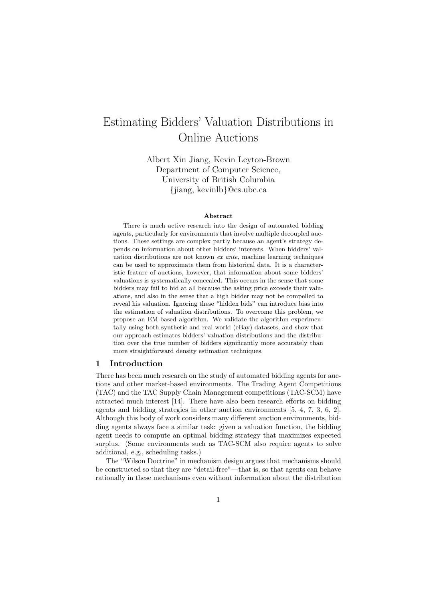# Estimating Bidders' Valuation Distributions in Online Auctions

Albert Xin Jiang, Kevin Leyton-Brown Department of Computer Science, University of British Columbia {jiang, kevinlb}@cs.ubc.ca

#### Abstract

There is much active research into the design of automated bidding agents, particularly for environments that involve multiple decoupled auctions. These settings are complex partly because an agent's strategy depends on information about other bidders' interests. When bidders' valuation distributions are not known ex ante, machine learning techniques can be used to approximate them from historical data. It is a characteristic feature of auctions, however, that information about some bidders' valuations is systematically concealed. This occurs in the sense that some bidders may fail to bid at all because the asking price exceeds their valuations, and also in the sense that a high bidder may not be compelled to reveal his valuation. Ignoring these "hidden bids" can introduce bias into the estimation of valuation distributions. To overcome this problem, we propose an EM-based algorithm. We validate the algorithm experimentally using both synthetic and real-world (eBay) datasets, and show that our approach estimates bidders' valuation distributions and the distribution over the true number of bidders significantly more accurately than more straightforward density estimation techniques.

# 1 Introduction

There has been much research on the study of automated bidding agents for auctions and other market-based environments. The Trading Agent Competitions (TAC) and the TAC Supply Chain Management competitions (TAC-SCM) have attracted much interest [14]. There have also been research efforts on bidding agents and bidding strategies in other auction environments [5, 4, 7, 3, 6, 2]. Although this body of work considers many different auction environments, bidding agents always face a similar task: given a valuation function, the bidding agent needs to compute an optimal bidding strategy that maximizes expected surplus. (Some environments such as TAC-SCM also require agents to solve additional, e.g., scheduling tasks.)

The "Wilson Doctrine" in mechanism design argues that mechanisms should be constructed so that they are "detail-free"—that is, so that agents can behave rationally in these mechanisms even without information about the distribution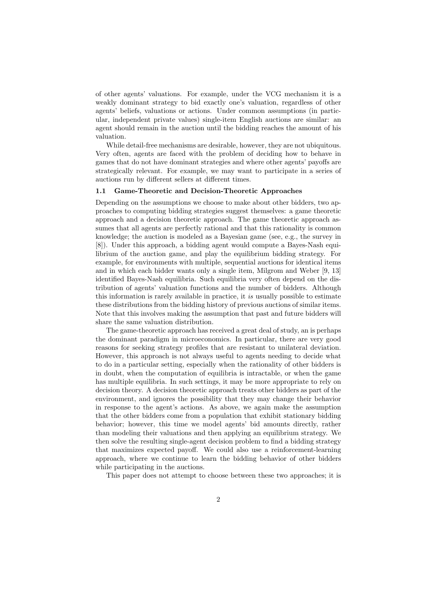of other agents' valuations. For example, under the VCG mechanism it is a weakly dominant strategy to bid exactly one's valuation, regardless of other agents' beliefs, valuations or actions. Under common assumptions (in particular, independent private values) single-item English auctions are similar: an agent should remain in the auction until the bidding reaches the amount of his valuation.

While detail-free mechanisms are desirable, however, they are not ubiquitous. Very often, agents are faced with the problem of deciding how to behave in games that do not have dominant strategies and where other agents' payoffs are strategically relevant. For example, we may want to participate in a series of auctions run by different sellers at different times.

# 1.1 Game-Theoretic and Decision-Theoretic Approaches

Depending on the assumptions we choose to make about other bidders, two approaches to computing bidding strategies suggest themselves: a game theoretic approach and a decision theoretic approach. The game theoretic approach assumes that all agents are perfectly rational and that this rationality is common knowledge; the auction is modeled as a Bayesian game (see, e.g., the survey in [8]). Under this approach, a bidding agent would compute a Bayes-Nash equilibrium of the auction game, and play the equilibrium bidding strategy. For example, for environments with multiple, sequential auctions for identical items and in which each bidder wants only a single item, Milgrom and Weber [9, 13] identified Bayes-Nash equilibria. Such equilibria very often depend on the distribution of agents' valuation functions and the number of bidders. Although this information is rarely available in practice, it is usually possible to estimate these distributions from the bidding history of previous auctions of similar items. Note that this involves making the assumption that past and future bidders will share the same valuation distribution.

The game-theoretic approach has received a great deal of study, an is perhaps the dominant paradigm in microeconomics. In particular, there are very good reasons for seeking strategy profiles that are resistant to unilateral deviation. However, this approach is not always useful to agents needing to decide what to do in a particular setting, especially when the rationality of other bidders is in doubt, when the computation of equilibria is intractable, or when the game has multiple equilibria. In such settings, it may be more appropriate to rely on decision theory. A decision theoretic approach treats other bidders as part of the environment, and ignores the possibility that they may change their behavior in response to the agent's actions. As above, we again make the assumption that the other bidders come from a population that exhibit stationary bidding behavior; however, this time we model agents' bid amounts directly, rather than modeling their valuations and then applying an equilibrium strategy. We then solve the resulting single-agent decision problem to find a bidding strategy that maximizes expected payoff. We could also use a reinforcement-learning approach, where we continue to learn the bidding behavior of other bidders while participating in the auctions.

This paper does not attempt to choose between these two approaches; it is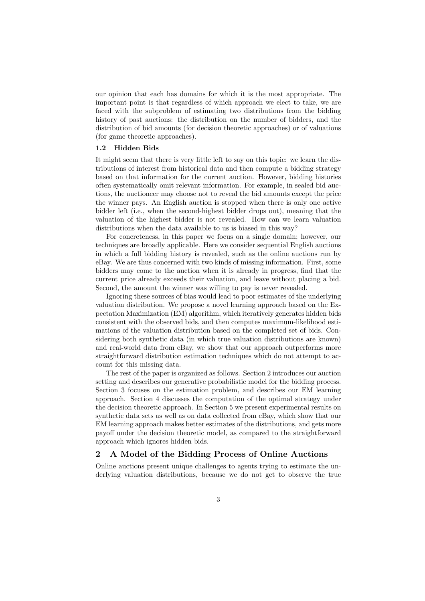our opinion that each has domains for which it is the most appropriate. The important point is that regardless of which approach we elect to take, we are faced with the subproblem of estimating two distributions from the bidding history of past auctions: the distribution on the number of bidders, and the distribution of bid amounts (for decision theoretic approaches) or of valuations (for game theoretic approaches).

# 1.2 Hidden Bids

It might seem that there is very little left to say on this topic: we learn the distributions of interest from historical data and then compute a bidding strategy based on that information for the current auction. However, bidding histories often systematically omit relevant information. For example, in sealed bid auctions, the auctioneer may choose not to reveal the bid amounts except the price the winner pays. An English auction is stopped when there is only one active bidder left (i.e., when the second-highest bidder drops out), meaning that the valuation of the highest bidder is not revealed. How can we learn valuation distributions when the data available to us is biased in this way?

For concreteness, in this paper we focus on a single domain; however, our techniques are broadly applicable. Here we consider sequential English auctions in which a full bidding history is revealed, such as the online auctions run by eBay. We are thus concerned with two kinds of missing information. First, some bidders may come to the auction when it is already in progress, find that the current price already exceeds their valuation, and leave without placing a bid. Second, the amount the winner was willing to pay is never revealed.

Ignoring these sources of bias would lead to poor estimates of the underlying valuation distribution. We propose a novel learning approach based on the Expectation Maximization (EM) algorithm, which iteratively generates hidden bids consistent with the observed bids, and then computes maximum-likelihood estimations of the valuation distribution based on the completed set of bids. Considering both synthetic data (in which true valuation distributions are known) and real-world data from eBay, we show that our approach outperforms more straightforward distribution estimation techniques which do not attempt to account for this missing data.

The rest of the paper is organized as follows. Section 2 introduces our auction setting and describes our generative probabilistic model for the bidding process. Section 3 focuses on the estimation problem, and describes our EM learning approach. Section 4 discusses the computation of the optimal strategy under the decision theoretic approach. In Section 5 we present experimental results on synthetic data sets as well as on data collected from eBay, which show that our EM learning approach makes better estimates of the distributions, and gets more payoff under the decision theoretic model, as compared to the straightforward approach which ignores hidden bids.

# 2 A Model of the Bidding Process of Online Auctions

Online auctions present unique challenges to agents trying to estimate the underlying valuation distributions, because we do not get to observe the true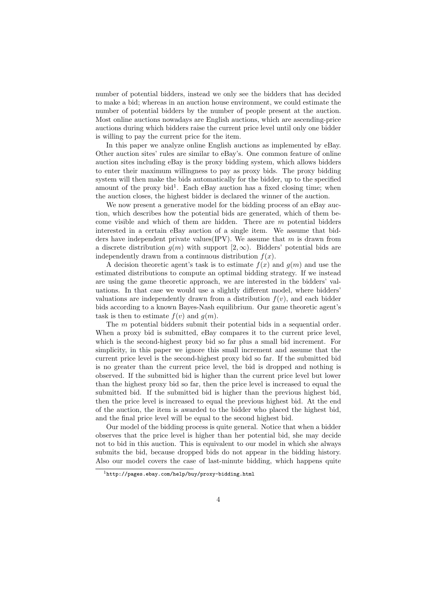number of potential bidders, instead we only see the bidders that has decided to make a bid; whereas in an auction house environment, we could estimate the number of potential bidders by the number of people present at the auction. Most online auctions nowadays are English auctions, which are ascending-price auctions during which bidders raise the current price level until only one bidder is willing to pay the current price for the item.

In this paper we analyze online English auctions as implemented by eBay. Other auction sites' rules are similar to eBay's. One common feature of online auction sites including eBay is the proxy bidding system, which allows bidders to enter their maximum willingness to pay as proxy bids. The proxy bidding system will then make the bids automatically for the bidder, up to the specified amount of the proxy bid<sup>1</sup>. Each eBay auction has a fixed closing time; when the auction closes, the highest bidder is declared the winner of the auction.

We now present a generative model for the bidding process of an eBay auction, which describes how the potential bids are generated, which of them become visible and which of them are hidden. There are  $m$  potential bidders interested in a certain eBay auction of a single item. We assume that bidders have independent private values (IPV). We assume that  $m$  is drawn from a discrete distribution  $g(m)$  with support  $[2,\infty)$ . Bidders' potential bids are independently drawn from a continuous distribution  $f(x)$ .

A decision theoretic agent's task is to estimate  $f(x)$  and  $g(m)$  and use the estimated distributions to compute an optimal bidding strategy. If we instead are using the game theoretic approach, we are interested in the bidders' valuations. In that case we would use a slightly different model, where bidders' valuations are independently drawn from a distribution  $f(v)$ , and each bidder bids according to a known Bayes-Nash equilibrium. Our game theoretic agent's task is then to estimate  $f(v)$  and  $g(m)$ .

The m potential bidders submit their potential bids in a sequential order. When a proxy bid is submitted, eBay compares it to the current price level, which is the second-highest proxy bid so far plus a small bid increment. For simplicity, in this paper we ignore this small increment and assume that the current price level is the second-highest proxy bid so far. If the submitted bid is no greater than the current price level, the bid is dropped and nothing is observed. If the submitted bid is higher than the current price level but lower than the highest proxy bid so far, then the price level is increased to equal the submitted bid. If the submitted bid is higher than the previous highest bid, then the price level is increased to equal the previous highest bid. At the end of the auction, the item is awarded to the bidder who placed the highest bid, and the final price level will be equal to the second highest bid.

Our model of the bidding process is quite general. Notice that when a bidder observes that the price level is higher than her potential bid, she may decide not to bid in this auction. This is equivalent to our model in which she always submits the bid, because dropped bids do not appear in the bidding history. Also our model covers the case of last-minute bidding, which happens quite

<sup>1</sup>http://pages.ebay.com/help/buy/proxy-bidding.html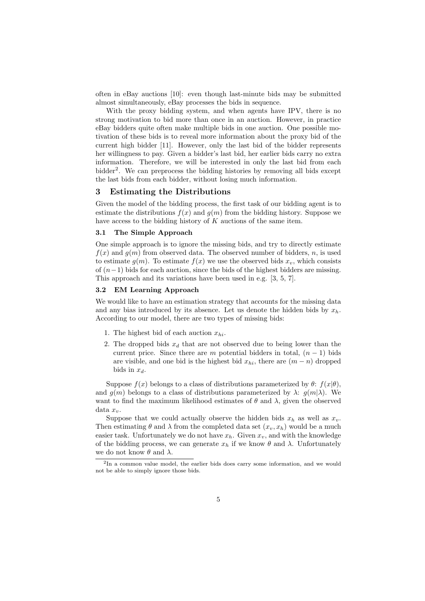often in eBay auctions [10]: even though last-minute bids may be submitted almost simultaneously, eBay processes the bids in sequence.

With the proxy bidding system, and when agents have IPV, there is no strong motivation to bid more than once in an auction. However, in practice eBay bidders quite often make multiple bids in one auction. One possible motivation of these bids is to reveal more information about the proxy bid of the current high bidder [11]. However, only the last bid of the bidder represents her willingness to pay. Given a bidder's last bid, her earlier bids carry no extra information. Therefore, we will be interested in only the last bid from each bidder<sup>2</sup>. We can preprocess the bidding histories by removing all bids except the last bids from each bidder, without losing much information.

# 3 Estimating the Distributions

Given the model of the bidding process, the first task of our bidding agent is to estimate the distributions  $f(x)$  and  $g(m)$  from the bidding history. Suppose we have access to the bidding history of  $K$  auctions of the same item.

## 3.1 The Simple Approach

One simple approach is to ignore the missing bids, and try to directly estimate  $f(x)$  and  $g(m)$  from observed data. The observed number of bidders, n, is used to estimate  $g(m)$ . To estimate  $f(x)$  we use the observed bids  $x_v$ , which consists of  $(n-1)$  bids for each auction, since the bids of the highest bidders are missing. This approach and its variations have been used in e.g. [3, 5, 7].

#### 3.2 EM Learning Approach

We would like to have an estimation strategy that accounts for the missing data and any bias introduced by its absence. Let us denote the hidden bids by  $x_h$ . According to our model, there are two types of missing bids:

- 1. The highest bid of each auction  $x_{hi}$ .
- 2. The dropped bids  $x_d$  that are not observed due to being lower than the current price. Since there are m potential bidders in total,  $(n-1)$  bids are visible, and one bid is the highest bid  $x_{hi}$ , there are  $(m - n)$  dropped bids in  $x_d$ .

Suppose  $f(x)$  belongs to a class of distributions parameterized by  $\theta$ :  $f(x|\theta)$ , and  $q(m)$  belongs to a class of distributions parameterized by  $\lambda$ :  $q(m|\lambda)$ . We want to find the maximum likelihood estimates of  $\theta$  and  $\lambda$ , given the observed data  $x_v$ .

Suppose that we could actually observe the hidden bids  $x_h$  as well as  $x_v$ . Then estimating  $\theta$  and  $\lambda$  from the completed data set  $(x_v, x_h)$  would be a much easier task. Unfortunately we do not have  $x_h$ . Given  $x_v$ , and with the knowledge of the bidding process, we can generate  $x_h$  if we know  $\theta$  and  $\lambda$ . Unfortunately we do not know  $\theta$  and  $\lambda$ .

<sup>&</sup>lt;sup>2</sup>In a common value model, the earlier bids does carry some information, and we would not be able to simply ignore those bids.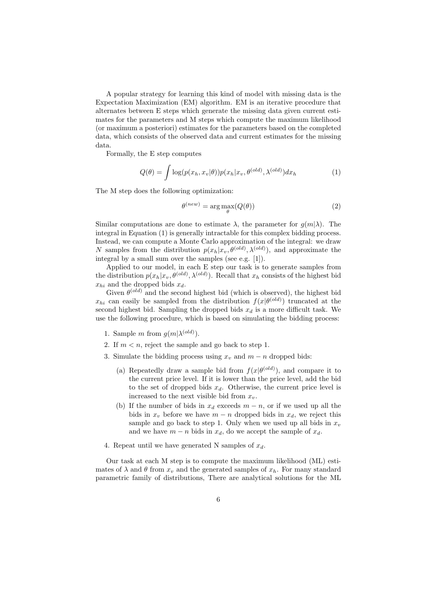A popular strategy for learning this kind of model with missing data is the Expectation Maximization (EM) algorithm. EM is an iterative procedure that alternates between E steps which generate the missing data given current estimates for the parameters and M steps which compute the maximum likelihood (or maximum a posteriori) estimates for the parameters based on the completed data, which consists of the observed data and current estimates for the missing data.

Formally, the E step computes

$$
Q(\theta) = \int \log(p(x_h, x_v | \theta)) p(x_h | x_v, \theta^{(old)}, \lambda^{(old)}) dx_h \tag{1}
$$

The M step does the following optimization:

$$
\theta^{(new)} = \arg \max_{\theta} (Q(\theta))
$$
 (2)

Similar computations are done to estimate  $\lambda$ , the parameter for  $q(m|\lambda)$ . The integral in Equation (1) is generally intractable for this complex bidding process. Instead, we can compute a Monte Carlo approximation of the integral: we draw N samples from the distribution  $p(x_h|x_v, \theta^{(old)}, \lambda^{(old)})$ , and approximate the integral by a small sum over the samples (see e.g. [1]).

Applied to our model, in each E step our task is to generate samples from the distribution  $p(x_h|x_v, \theta^{(old)}, \lambda^{(old)})$ . Recall that  $x_h$  consists of the highest bid  $x_{hi}$  and the dropped bids  $x_d$ .

Given  $\theta^{(old)}$  and the second highest bid (which is observed), the highest bid  $x_{hi}$  can easily be sampled from the distribution  $f(x|\theta^{(old)})$  truncated at the second highest bid. Sampling the dropped bids  $x_d$  is a more difficult task. We use the following procedure, which is based on simulating the bidding process:

- 1. Sample m from  $g(m|\lambda^{(old)})$ .
- 2. If  $m < n$ , reject the sample and go back to step 1.
- 3. Simulate the bidding process using  $x_v$  and  $m n$  dropped bids:
	- (a) Repeatedly draw a sample bid from  $f(x|\theta^{(old)})$ , and compare it to the current price level. If it is lower than the price level, add the bid to the set of dropped bids  $x_d$ . Otherwise, the current price level is increased to the next visible bid from  $x<sub>v</sub>$ .
	- (b) If the number of bids in  $x_d$  exceeds  $m n$ , or if we used up all the bids in  $x_v$  before we have  $m - n$  dropped bids in  $x_d$ , we reject this sample and go back to step 1. Only when we used up all bids in  $x_v$ and we have  $m - n$  bids in  $x_d$ , do we accept the sample of  $x_d$ .
- 4. Repeat until we have generated N samples of  $x_d$ .

Our task at each M step is to compute the maximum likelihood (ML) estimates of  $\lambda$  and  $\theta$  from  $x_v$  and the generated samples of  $x_h$ . For many standard parametric family of distributions, There are analytical solutions for the ML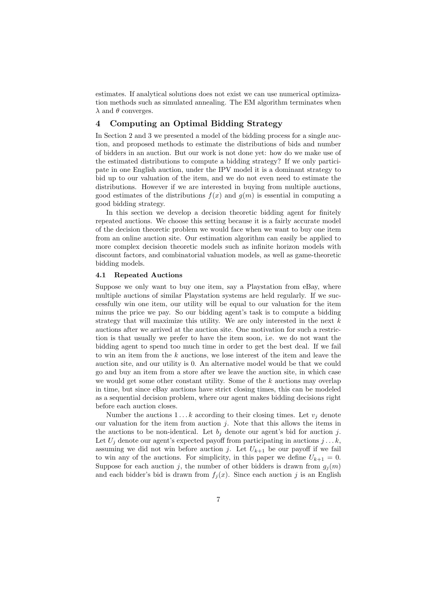estimates. If analytical solutions does not exist we can use numerical optimization methods such as simulated annealing. The EM algorithm terminates when  $\lambda$  and  $\theta$  converges.

# 4 Computing an Optimal Bidding Strategy

In Section 2 and 3 we presented a model of the bidding process for a single auction, and proposed methods to estimate the distributions of bids and number of bidders in an auction. But our work is not done yet: how do we make use of the estimated distributions to compute a bidding strategy? If we only participate in one English auction, under the IPV model it is a dominant strategy to bid up to our valuation of the item, and we do not even need to estimate the distributions. However if we are interested in buying from multiple auctions, good estimates of the distributions  $f(x)$  and  $g(m)$  is essential in computing a good bidding strategy.

In this section we develop a decision theoretic bidding agent for finitely repeated auctions. We choose this setting because it is a fairly accurate model of the decision theoretic problem we would face when we want to buy one item from an online auction site. Our estimation algorithm can easily be applied to more complex decision theoretic models such as infinite horizon models with discount factors, and combinatorial valuation models, as well as game-theoretic bidding models.

#### 4.1 Repeated Auctions

Suppose we only want to buy one item, say a Playstation from eBay, where multiple auctions of similar Playstation systems are held regularly. If we successfully win one item, our utility will be equal to our valuation for the item minus the price we pay. So our bidding agent's task is to compute a bidding strategy that will maximize this utility. We are only interested in the next  $k$ auctions after we arrived at the auction site. One motivation for such a restriction is that usually we prefer to have the item soon, i.e. we do not want the bidding agent to spend too much time in order to get the best deal. If we fail to win an item from the k auctions, we lose interest of the item and leave the auction site, and our utility is 0. An alternative model would be that we could go and buy an item from a store after we leave the auction site, in which case we would get some other constant utility. Some of the  $k$  auctions may overlap in time, but since eBay auctions have strict closing times, this can be modeled as a sequential decision problem, where our agent makes bidding decisions right before each auction closes.

Number the auctions  $1 \dots k$  according to their closing times. Let  $v_j$  denote our valuation for the item from auction  $j$ . Note that this allows the items in the auctions to be non-identical. Let  $b_i$  denote our agent's bid for auction j. Let  $U_j$  denote our agent's expected payoff from participating in auctions  $j \dots k$ , assuming we did not win before auction j. Let  $U_{k+1}$  be our payoff if we fail to win any of the auctions. For simplicity, in this paper we define  $U_{k+1} = 0$ . Suppose for each auction j, the number of other bidders is drawn from  $g_i(m)$ and each bidder's bid is drawn from  $f_i(x)$ . Since each auction j is an English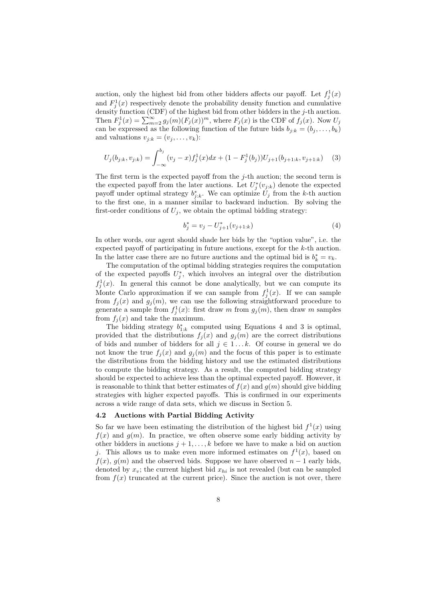auction, only the highest bid from other bidders affects our payoff. Let  $f_j^1(x)$ and  $F_j^1(x)$  respectively denote the probability density function and cumulative density function (CDF) of the highest bid from other bidders in the  $j$ -th auction. Then  $F_j^1(x) = \sum_{m=2}^{\infty} g_j(m)(F_j(x))^m$ , where  $F_j(x)$  is the CDF of  $f_j(x)$ . Now  $U_j$ can be expressed as the following function of the future bids  $b_{j:k} = (b_j, \ldots, b_k)$ and valuations  $v_{j:k} = (v_j, \ldots, v_k)$ :

$$
U_j(b_{j:k}, v_{j:k}) = \int_{-\infty}^{b_j} (v_j - x) f_j^1(x) dx + (1 - F_j^1(b_j)) U_{j+1}(b_{j+1:k}, v_{j+1:k}) \quad (3)
$$

The first term is the expected payoff from the  $j$ -th auction; the second term is the expected payoff from the later auctions. Let  $U_j^*(v_{j:k})$  denote the expected payoff under optimal strategy  $b_{j:k}^*$ . We can optimize  $U_j$  from the k-th auction to the first one, in a manner similar to backward induction. By solving the first-order conditions of  $U_i$ , we obtain the optimal bidding strategy:

$$
b_j^* = v_j - U_{j+1}^*(v_{j+1:k})
$$
\n(4)

In other words, our agent should shade her bids by the "option value", i.e. the expected payoff of participating in future auctions, except for the k-th auction. In the latter case there are no future auctions and the optimal bid is  $b_k^* = v_k$ .

The computation of the optimal bidding strategies requires the computation of the expected payoffs  $U_j^*$ , which involves an integral over the distribution  $f_j^1(x)$ . In general this cannot be done analytically, but we can compute its Monte Carlo approximation if we can sample from  $f_j^1(x)$ . If we can sample from  $f_j(x)$  and  $g_j(m)$ , we can use the following straightforward procedure to generate a sample from  $f_j^1(x)$ : first draw m from  $g_j(m)$ , then draw m samples from  $f_i(x)$  and take the maximum.

The bidding strategy  $b_{1:k}^*$  computed using Equations 4 and 3 is optimal, provided that the distributions  $f_i(x)$  and  $g_i(m)$  are the correct distributions of bids and number of bidders for all  $j \in 1...k$ . Of course in general we do not know the true  $f_j(x)$  and  $g_j(m)$  and the focus of this paper is to estimate the distributions from the bidding history and use the estimated distributions to compute the bidding strategy. As a result, the computed bidding strategy should be expected to achieve less than the optimal expected payoff. However, it is reasonable to think that better estimates of  $f(x)$  and  $g(m)$  should give bidding strategies with higher expected payoffs. This is confirmed in our experiments across a wide range of data sets, which we discuss in Section 5.

## 4.2 Auctions with Partial Bidding Activity

So far we have been estimating the distribution of the highest bid  $f^1(x)$  using  $f(x)$  and  $g(m)$ . In practice, we often observe some early bidding activity by other bidders in auctions  $j + 1, \ldots, k$  before we have to make a bid on auction j. This allows us to make even more informed estimates on  $f<sup>1</sup>(x)$ , based on  $f(x)$ ,  $g(m)$  and the observed bids. Suppose we have observed  $n-1$  early bids, denoted by  $x_v$ ; the current highest bid  $x_{hi}$  is not revealed (but can be sampled from  $f(x)$  truncated at the current price). Since the auction is not over, there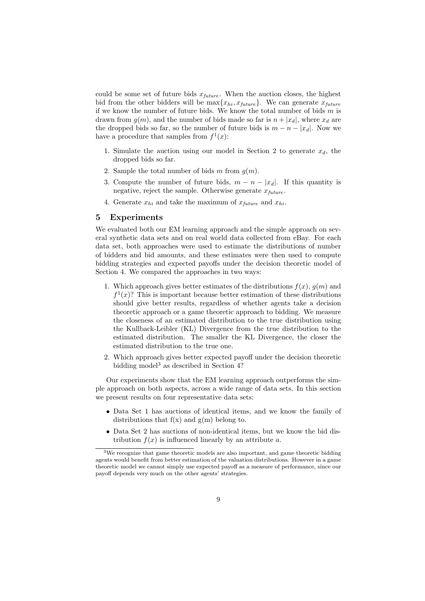could be some set of future bids  $x_{future}$ . When the auction closes, the highest bid from the other bidders will be  $\max\{x_{hi}, x_{future}\}.$  We can generate  $x_{future}$ if we know the number of future bids. We know the total number of bids  $m$  is drawn from  $g(m)$ , and the number of bids made so far is  $n + |x_d|$ , where  $x_d$  are the dropped bids so far, so the number of future bids is  $m - n - |x_d|$ . Now we have a procedure that samples from  $f^1(x)$ :

- 1. Simulate the auction using our model in Section 2 to generate  $x_d$ , the dropped bids so far.
- 2. Sample the total number of bids m from  $q(m)$ .
- 3. Compute the number of future bids,  $m n |x_d|$ . If this quantity is negative, reject the sample. Otherwise generate  $x_{future}$ .
- 4. Generate  $x_{hi}$  and take the maximum of  $x_{future}$  and  $x_{hi}$ .

# 5 Experiments

We evaluated both our EM learning approach and the simple approach on several synthetic data sets and on real world data collected from eBay. For each data set, both approaches were used to estimate the distributions of number of bidders and bid amounts, and these estimates were then used to compute bidding strategies and expected payoffs under the decision theoretic model of Section 4. We compared the approaches in two ways:

- 1. Which approach gives better estimates of the distributions  $f(x)$ ,  $g(m)$  and  $f<sup>1</sup>(x)$ ? This is important because better estimation of these distributions should give better results, regardless of whether agents take a decision theoretic approach or a game theoretic approach to bidding. We measure the closeness of an estimated distribution to the true distribution using the Kullback-Leibler (KL) Divergence from the true distribution to the estimated distribution. The smaller the KL Divergence, the closer the estimated distribution to the true one.
- 2. Which approach gives better expected payoff under the decision theoretic bidding model<sup>3</sup> as described in Section 4?

Our experiments show that the EM learning approach outperforms the simple approach on both aspects, across a wide range of data sets. In this section we present results on four representative data sets:

- Data Set 1 has auctions of identical items, and we know the family of distributions that  $f(x)$  and  $g(m)$  belong to.
- Data Set 2 has auctions of non-identical items, but we know the bid distribution  $f(x)$  is influenced linearly by an attribute a.

<sup>&</sup>lt;sup>3</sup>We recognize that game theoretic models are also important, and game theoretic bidding agents would benefit from better estimation of the valuation distributions. However in a game theoretic model we cannot simply use expected payoff as a measure of performance, since our payoff depends very much on the other agents' strategies.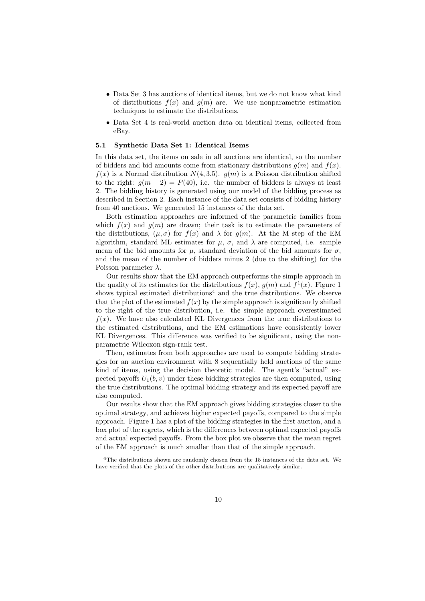- Data Set 3 has auctions of identical items, but we do not know what kind of distributions  $f(x)$  and  $g(m)$  are. We use nonparametric estimation techniques to estimate the distributions.
- Data Set 4 is real-world auction data on identical items, collected from eBay.

# 5.1 Synthetic Data Set 1: Identical Items

In this data set, the items on sale in all auctions are identical, so the number of bidders and bid amounts come from stationary distributions  $q(m)$  and  $f(x)$ .  $f(x)$  is a Normal distribution  $N(4, 3.5)$ .  $g(m)$  is a Poisson distribution shifted to the right:  $g(m-2) = P(40)$ , i.e. the number of bidders is always at least 2. The bidding history is generated using our model of the bidding process as described in Section 2. Each instance of the data set consists of bidding history from 40 auctions. We generated 15 instances of the data set.

Both estimation approaches are informed of the parametric families from which  $f(x)$  and  $g(m)$  are drawn; their task is to estimate the parameters of the distributions,  $(\mu, \sigma)$  for  $f(x)$  and  $\lambda$  for  $g(m)$ . At the M step of the EM algorithm, standard ML estimates for  $\mu$ ,  $\sigma$ , and  $\lambda$  are computed, i.e. sample mean of the bid amounts for  $\mu$ , standard deviation of the bid amounts for  $\sigma$ , and the mean of the number of bidders minus 2 (due to the shifting) for the Poisson parameter  $\lambda$ .

Our results show that the EM approach outperforms the simple approach in the quality of its estimates for the distributions  $f(x)$ ,  $g(m)$  and  $f^{1}(x)$ . Figure 1 shows typical estimated distributions<sup>4</sup> and the true distributions. We observe that the plot of the estimated  $f(x)$  by the simple approach is significantly shifted to the right of the true distribution, i.e. the simple approach overestimated  $f(x)$ . We have also calculated KL Divergences from the true distributions to the estimated distributions, and the EM estimations have consistently lower KL Divergences. This difference was verified to be significant, using the nonparametric Wilcoxon sign-rank test.

Then, estimates from both approaches are used to compute bidding strategies for an auction environment with 8 sequentially held auctions of the same kind of items, using the decision theoretic model. The agent's "actual" expected payoffs  $U_1(b, v)$  under these bidding strategies are then computed, using the true distributions. The optimal bidding strategy and its expected payoff are also computed.

Our results show that the EM approach gives bidding strategies closer to the optimal strategy, and achieves higher expected payoffs, compared to the simple approach. Figure 1 has a plot of the bidding strategies in the first auction, and a box plot of the regrets, which is the differences between optimal expected payoffs and actual expected payoffs. From the box plot we observe that the mean regret of the EM approach is much smaller than that of the simple approach.

<sup>4</sup>The distributions shown are randomly chosen from the 15 instances of the data set. We have verified that the plots of the other distributions are qualitatively similar.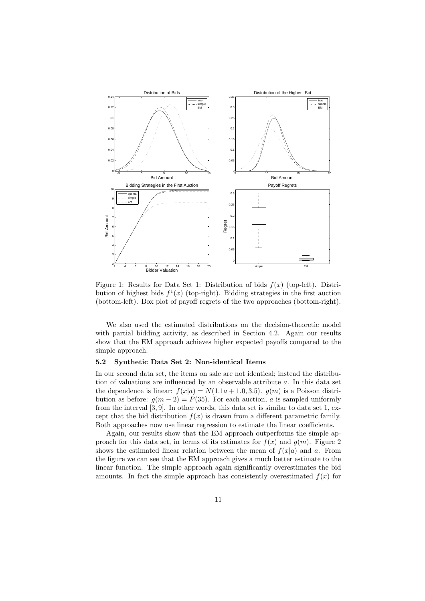

Figure 1: Results for Data Set 1: Distribution of bids  $f(x)$  (top-left). Distribution of highest bids  $f^1(x)$  (top-right). Bidding strategies in the first auction (bottom-left). Box plot of payoff regrets of the two approaches (bottom-right).

We also used the estimated distributions on the decision-theoretic model with partial bidding activity, as described in Section 4.2. Again our results show that the EM approach achieves higher expected payoffs compared to the simple approach.

### 5.2 Synthetic Data Set 2: Non-identical Items

In our second data set, the items on sale are not identical; instead the distribution of valuations are influenced by an observable attribute a. In this data set the dependence is linear:  $f(x|a) = N(1.1a + 1.0, 3.5)$ .  $g(m)$  is a Poisson distribution as before:  $g(m-2) = P(35)$ . For each auction, a is sampled uniformly from the interval [3, 9]. In other words, this data set is similar to data set 1, except that the bid distribution  $f(x)$  is drawn from a different parametric family. Both approaches now use linear regression to estimate the linear coefficients.

Again, our results show that the EM approach outperforms the simple approach for this data set, in terms of its estimates for  $f(x)$  and  $g(m)$ . Figure 2 shows the estimated linear relation between the mean of  $f(x|a)$  and a. From the figure we can see that the EM approach gives a much better estimate to the linear function. The simple approach again significantly overestimates the bid amounts. In fact the simple approach has consistently overestimated  $f(x)$  for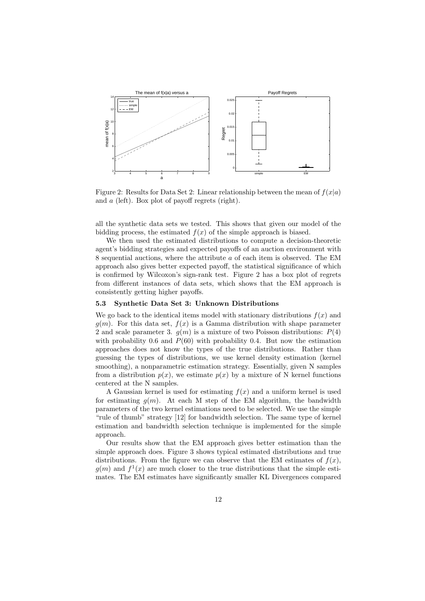

Figure 2: Results for Data Set 2: Linear relationship between the mean of  $f(x|a)$ and a (left). Box plot of payoff regrets (right).

all the synthetic data sets we tested. This shows that given our model of the bidding process, the estimated  $f(x)$  of the simple approach is biased.

We then used the estimated distributions to compute a decision-theoretic agent's bidding strategies and expected payoffs of an auction environment with 8 sequential auctions, where the attribute a of each item is observed. The EM approach also gives better expected payoff, the statistical significance of which is confirmed by Wilcoxon's sign-rank test. Figure 2 has a box plot of regrets from different instances of data sets, which shows that the EM approach is consistently getting higher payoffs.

# 5.3 Synthetic Data Set 3: Unknown Distributions

We go back to the identical items model with stationary distributions  $f(x)$  and  $g(m)$ . For this data set,  $f(x)$  is a Gamma distribution with shape parameter 2 and scale parameter 3.  $g(m)$  is a mixture of two Poisson distributions:  $P(4)$ with probability 0.6 and  $P(60)$  with probability 0.4. But now the estimation approaches does not know the types of the true distributions. Rather than guessing the types of distributions, we use kernel density estimation (kernel smoothing), a nonparametric estimation strategy. Essentially, given N samples from a distribution  $p(x)$ , we estimate  $p(x)$  by a mixture of N kernel functions centered at the N samples.

A Gaussian kernel is used for estimating  $f(x)$  and a uniform kernel is used for estimating  $q(m)$ . At each M step of the EM algorithm, the bandwidth parameters of the two kernel estimations need to be selected. We use the simple "rule of thumb" strategy [12] for bandwidth selection. The same type of kernel estimation and bandwidth selection technique is implemented for the simple approach.

Our results show that the EM approach gives better estimation than the simple approach does. Figure 3 shows typical estimated distributions and true distributions. From the figure we can observe that the EM estimates of  $f(x)$ ,  $g(m)$  and  $f^{1}(x)$  are much closer to the true distributions that the simple estimates. The EM estimates have significantly smaller KL Divergences compared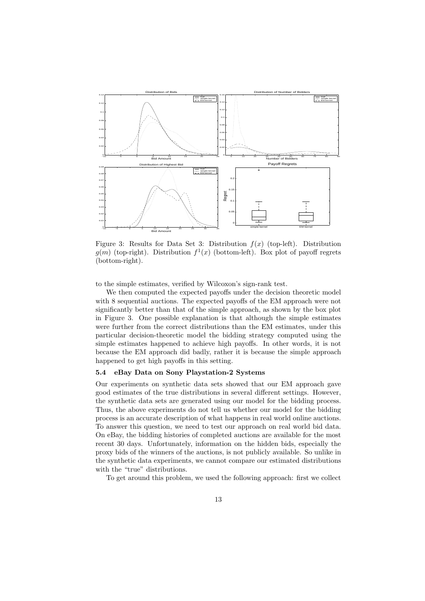

Figure 3: Results for Data Set 3: Distribution  $f(x)$  (top-left). Distribution  $g(m)$  (top-right). Distribution  $f^{1}(x)$  (bottom-left). Box plot of payoff regrets (bottom-right).

to the simple estimates, verified by Wilcoxon's sign-rank test.

We then computed the expected payoffs under the decision theoretic model with 8 sequential auctions. The expected payoffs of the EM approach were not significantly better than that of the simple approach, as shown by the box plot in Figure 3. One possible explanation is that although the simple estimates were further from the correct distributions than the EM estimates, under this particular decision-theoretic model the bidding strategy computed using the simple estimates happened to achieve high payoffs. In other words, it is not because the EM approach did badly, rather it is because the simple approach happened to get high payoffs in this setting.

# 5.4 eBay Data on Sony Playstation-2 Systems

Our experiments on synthetic data sets showed that our EM approach gave good estimates of the true distributions in several different settings. However, the synthetic data sets are generated using our model for the bidding process. Thus, the above experiments do not tell us whether our model for the bidding process is an accurate description of what happens in real world online auctions. To answer this question, we need to test our approach on real world bid data. On eBay, the bidding histories of completed auctions are available for the most recent 30 days. Unfortunately, information on the hidden bids, especially the proxy bids of the winners of the auctions, is not publicly available. So unlike in the synthetic data experiments, we cannot compare our estimated distributions with the "true" distributions.

To get around this problem, we used the following approach: first we collect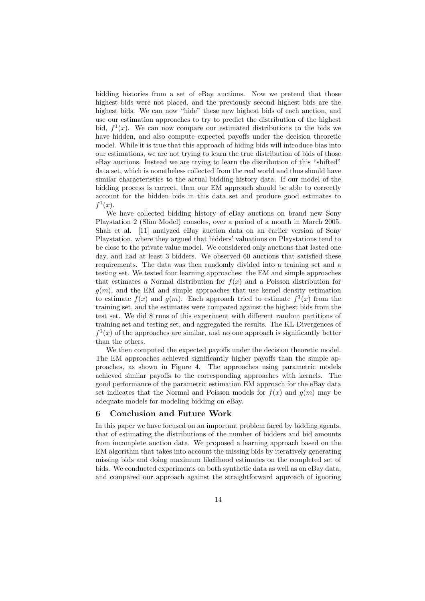bidding histories from a set of eBay auctions. Now we pretend that those highest bids were not placed, and the previously second highest bids are the highest bids. We can now "hide" these new highest bids of each auction, and use our estimation approaches to try to predict the distribution of the highest bid,  $f^1(x)$ . We can now compare our estimated distributions to the bids we have hidden, and also compute expected payoffs under the decision theoretic model. While it is true that this approach of hiding bids will introduce bias into our estimations, we are not trying to learn the true distribution of bids of those eBay auctions. Instead we are trying to learn the distribution of this "shifted" data set, which is nonetheless collected from the real world and thus should have similar characteristics to the actual bidding history data. If our model of the bidding process is correct, then our EM approach should be able to correctly account for the hidden bids in this data set and produce good estimates to  $f^1(x)$ .

We have collected bidding history of eBay auctions on brand new Sony Playstation 2 (Slim Model) consoles, over a period of a month in March 2005. Shah et al. [11] analyzed eBay auction data on an earlier version of Sony Playstation, where they argued that bidders' valuations on Playstations tend to be close to the private value model. We considered only auctions that lasted one day, and had at least 3 bidders. We observed 60 auctions that satisfied these requirements. The data was then randomly divided into a training set and a testing set. We tested four learning approaches: the EM and simple approaches that estimates a Normal distribution for  $f(x)$  and a Poisson distribution for  $g(m)$ , and the EM and simple approaches that use kernel density estimation to estimate  $f(x)$  and  $g(m)$ . Each approach tried to estimate  $f^{(1)}(x)$  from the training set, and the estimates were compared against the highest bids from the test set. We did 8 runs of this experiment with different random partitions of training set and testing set, and aggregated the results. The KL Divergences of  $f^{1}(x)$  of the approaches are similar, and no one approach is significantly better than the others.

We then computed the expected payoffs under the decision theoretic model. The EM approaches achieved significantly higher payoffs than the simple approaches, as shown in Figure 4. The approaches using parametric models achieved similar payoffs to the corresponding approaches with kernels. The good performance of the parametric estimation EM approach for the eBay data set indicates that the Normal and Poisson models for  $f(x)$  and  $g(m)$  may be adequate models for modeling bidding on eBay.

# 6 Conclusion and Future Work

In this paper we have focused on an important problem faced by bidding agents, that of estimating the distributions of the number of bidders and bid amounts from incomplete auction data. We proposed a learning approach based on the EM algorithm that takes into account the missing bids by iteratively generating missing bids and doing maximum likelihood estimates on the completed set of bids. We conducted experiments on both synthetic data as well as on eBay data, and compared our approach against the straightforward approach of ignoring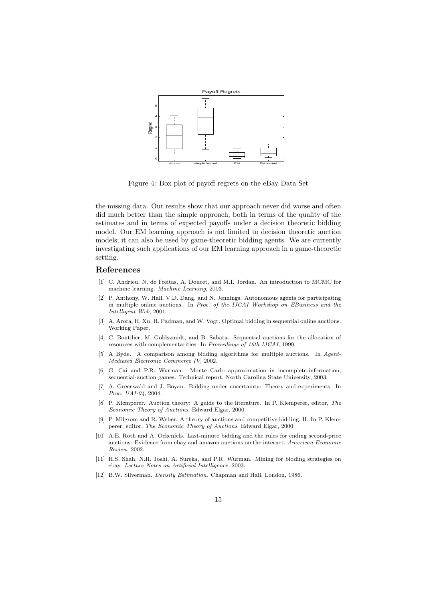

Figure 4: Box plot of payoff regrets on the eBay Data Set

the missing data. Our results show that our approach never did worse and often did much better than the simple approach, both in terms of the quality of the estimates and in terms of expected payoffs under a decision theoretic bidding model. Our EM learning approach is not limited to decision theoretic auction models; it can also be used by game-theoretic bidding agents. We are currently investigating such applications of our EM learning approach in a game-theoretic setting.

# References

- [1] C. Andrieu, N. de Freitas, A. Doucet, and M.I. Jordan. An introduction to MCMC for machine learning. Machine Learning, 2003.
- [2] P. Anthony, W. Hall, V.D. Dang, and N. Jennings. Autonomous agents for participating in multiple online auctions. In Proc. of the IJCAI Workshop on EBusiness and the Intelligent Web, 2001.
- [3] A. Arora, H. Xu, R. Padman, and W. Vogt. Optimal bidding in sequential online auctions. Working Paper.
- [4] C. Boutilier, M. Goldszmidt, and B. Sabata. Sequential auctions for the allocation of resources with complementarities. In Proceedings of 16th IJCAI, 1999.
- [5] A Byde. A comparison among bidding algorithms for multiple auctions. In Agent-Mediated Electronic Commerce IV, 2002.
- [6] G. Cai and P.R. Wurman. Monte Carlo approximation in incomplete-information, sequential-auction games. Technical report, North Carolina State University, 2003.
- [7] A. Greenwald and J. Boyan. Bidding under uncertainty: Theory and experiments. In Proc. UAI-04, 2004.
- [8] P. Klemperer. Auction theory: A guide to the literature. In P. Klemperer, editor, The Economic Theory of Auctions. Edward Elgar, 2000.
- [9] P. Milgrom and R. Weber. A theory of auctions and competitive bidding, II. In P. Klemperer, editor, The Economic Theory of Auctions. Edward Elgar, 2000.
- [10] A.E. Roth and A. Ockenfels. Last-minute bidding and the rules for ending second-price auctions: Evidence from ebay and amazon auctions on the internet. American Economic Review, 2002.
- [11] H.S. Shah, N.R. Joshi, A. Sureka, and P.R. Wurman. Mining for bidding strategies on ebay. Lecture Notes on Artificial Intelligence, 2003.
- [12] B.W. Silverman. Density Estimation. Chapman and Hall, London, 1986.